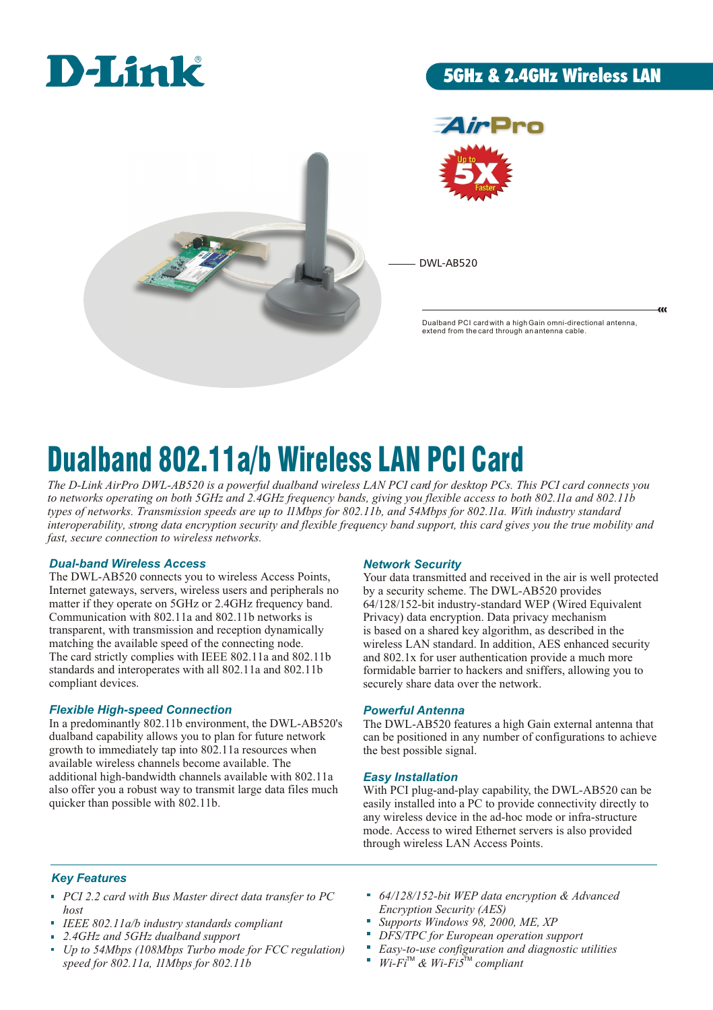

# 5GHz & 2.4GHz Wireless LAN



•Pro

DWL-AB520

Dualband PCI card with a high Gain omni-directional antenna, extend from the card through an antenna cable.

æ

# Dualband 802.11a/b Wireless LAN PCI Card

*The D-Link AirPro DWL-AB520 is a powerful dualband wireless LAN PCI card for desktop PCs. This PCI card connects you to networks operating on both 5GHz and 2.4GHz frequency bands, giving you flexible access to both 802.11a and 802.11b types of networks. Transmission speeds are up to 11Mbps for 802.11b, and 54Mbps for 802.11a. With industry standard interoperability, strong data encryption security and flexible frequency band support, this card gives you the true mobility and fast, secure connection to wireless networks.* 

# *Dual-band Wireless Access*

The DWL-AB520 connects you to wireless Access Points, Internet gateways, servers, wireless users and peripherals no matter if they operate on 5GHz or 2.4GHz frequency band. Communication with 802.11a and 802.11b networks is transparent, with transmission and reception dynamically matching the available speed of the connecting node. The card strictly complies with IEEE 802.11a and 802.11b standards and interoperates with all 802.11a and 802.11b compliant devices.

# *Flexible High-speed Connection*

In a predominantly 802.11b environment, the DWL-AB520's dualband capability allows you to plan for future network growth to immediately tap into 802.11a resources when available wireless channels become available. The additional high-bandwidth channels available with 802.11a also offer you a robust way to transmit large data files much quicker than possible with 802.11b.

# *Network Security*

Your data transmitted and received in the air is well protected by a security scheme. The DWL-AB520 provides 64/128/152-bit industry-standard WEP (Wired Equivalent Privacy) data encryption. Data privacy mechanism is based on a shared key algorithm, as described in the wireless LAN standard. In addition, AES enhanced security and 802.1x for user authentication provide a much more formidable barrier to hackers and sniffers, allowing you to securely share data over the network.

# *Powerful Antenna*

The DWL-AB520 features a high Gain external antenna that can be positioned in any number of configurations to achieve the best possible signal.

# *Easy Installation*

With PCI plug-and-play capability, the DWL-AB520 can be easily installed into a PC to provide connectivity directly to any wireless device in the ad-hoc mode or infra-structure mode. Access to wired Ethernet servers is also provided through wireless LAN Access Points.

# *Key Features*

- *PCI 2.2 card with Bus Master direct data transfer to PC host*
- *IEEE 802.11a/b industry standards compliant*
- *2.4GHz and 5GHz dualband support*
- *Up to 54Mbps (108Mbps Turbo mode for FCC regulation) speed for 802.11a, 11Mbps for 802.11b*
- *64/128/152-bit WEP data encryption & Advanced Encryption Security (AES)*
- *Supports Windows 98, 2000, ME, XP*
- *DFS/TPC for European operation support*
- *Easy-to-use configuration and diagnostic utilities*
- $Wi-Fi^{TM} \& Wi-Fi5^{TM}$  compliant